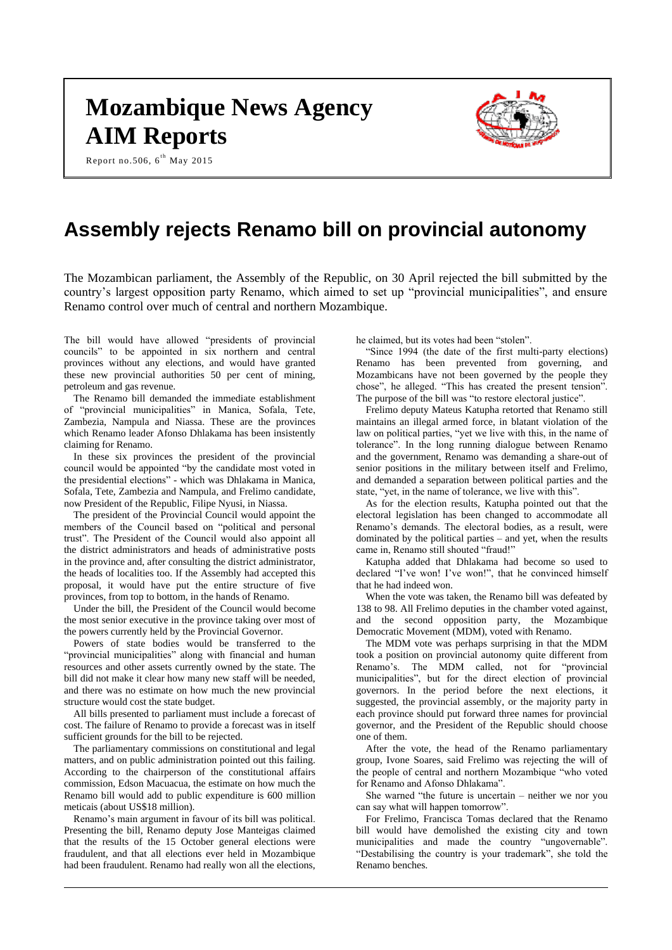# **Mozambique News Agency AIM Reports**

Report no.506,  $6^{th}$  May 2015



# **Assembly rejects Renamo bill on provincial autonomy**

The Mozambican parliament, the Assembly of the Republic, on 30 April rejected the bill submitted by the country's largest opposition party Renamo, which aimed to set up "provincial municipalities", and ensure Renamo control over much of central and northern Mozambique.

The bill would have allowed "presidents of provincial councils" to be appointed in six northern and central provinces without any elections, and would have granted these new provincial authorities 50 per cent of mining, petroleum and gas revenue.

The Renamo bill demanded the immediate establishment of "provincial municipalities" in Manica, Sofala, Tete, Zambezia, Nampula and Niassa. These are the provinces which Renamo leader Afonso Dhlakama has been insistently claiming for Renamo.

In these six provinces the president of the provincial council would be appointed "by the candidate most voted in the presidential elections" - which was Dhlakama in Manica, Sofala, Tete, Zambezia and Nampula, and Frelimo candidate, now President of the Republic, Filipe Nyusi, in Niassa.

The president of the Provincial Council would appoint the members of the Council based on "political and personal trust". The President of the Council would also appoint all the district administrators and heads of administrative posts in the province and, after consulting the district administrator, the heads of localities too. If the Assembly had accepted this proposal, it would have put the entire structure of five provinces, from top to bottom, in the hands of Renamo.

Under the bill, the President of the Council would become the most senior executive in the province taking over most of the powers currently held by the Provincial Governor.

Powers of state bodies would be transferred to the "provincial municipalities" along with financial and human resources and other assets currently owned by the state. The bill did not make it clear how many new staff will be needed, and there was no estimate on how much the new provincial structure would cost the state budget.

All bills presented to parliament must include a forecast of cost. The failure of Renamo to provide a forecast was in itself sufficient grounds for the bill to be rejected.

The parliamentary commissions on constitutional and legal matters, and on public administration pointed out this failing. According to the chairperson of the constitutional affairs commission, Edson Macuacua, the estimate on how much the Renamo bill would add to public expenditure is 600 million meticais (about US\$18 million).

Renamo's main argument in favour of its bill was political. Presenting the bill, Renamo deputy Jose Manteigas claimed that the results of the 15 October general elections were fraudulent, and that all elections ever held in Mozambique had been fraudulent. Renamo had really won all the elections, he claimed, but its votes had been "stolen".

"Since 1994 (the date of the first multi-party elections) Renamo has been prevented from governing, and Mozambicans have not been governed by the people they chose", he alleged. "This has created the present tension". The purpose of the bill was "to restore electoral justice".

Frelimo deputy Mateus Katupha retorted that Renamo still maintains an illegal armed force, in blatant violation of the law on political parties, "yet we live with this, in the name of tolerance". In the long running dialogue between Renamo and the government, Renamo was demanding a share-out of senior positions in the military between itself and Frelimo, and demanded a separation between political parties and the state, "yet, in the name of tolerance, we live with this".

As for the election results, Katupha pointed out that the electoral legislation has been changed to accommodate all Renamo's demands. The electoral bodies, as a result, were dominated by the political parties – and yet, when the results came in, Renamo still shouted "fraud!"

Katupha added that Dhlakama had become so used to declared "I've won! I've won!", that he convinced himself that he had indeed won.

When the vote was taken, the Renamo bill was defeated by 138 to 98. All Frelimo deputies in the chamber voted against, and the second opposition party, the Mozambique Democratic Movement (MDM), voted with Renamo.

The MDM vote was perhaps surprising in that the MDM took a position on provincial autonomy quite different from Renamo's. The MDM called, not for "provincial municipalities", but for the direct election of provincial governors. In the period before the next elections, it suggested, the provincial assembly, or the majority party in each province should put forward three names for provincial governor, and the President of the Republic should choose one of them.

After the vote, the head of the Renamo parliamentary group, Ivone Soares, said Frelimo was rejecting the will of the people of central and northern Mozambique "who voted for Renamo and Afonso Dhlakama".

She warned "the future is uncertain – neither we nor you can say what will happen tomorrow".

For Frelimo, Francisca Tomas declared that the Renamo bill would have demolished the existing city and town municipalities and made the country "ungovernable". "Destabilising the country is your trademark", she told the Renamo benches.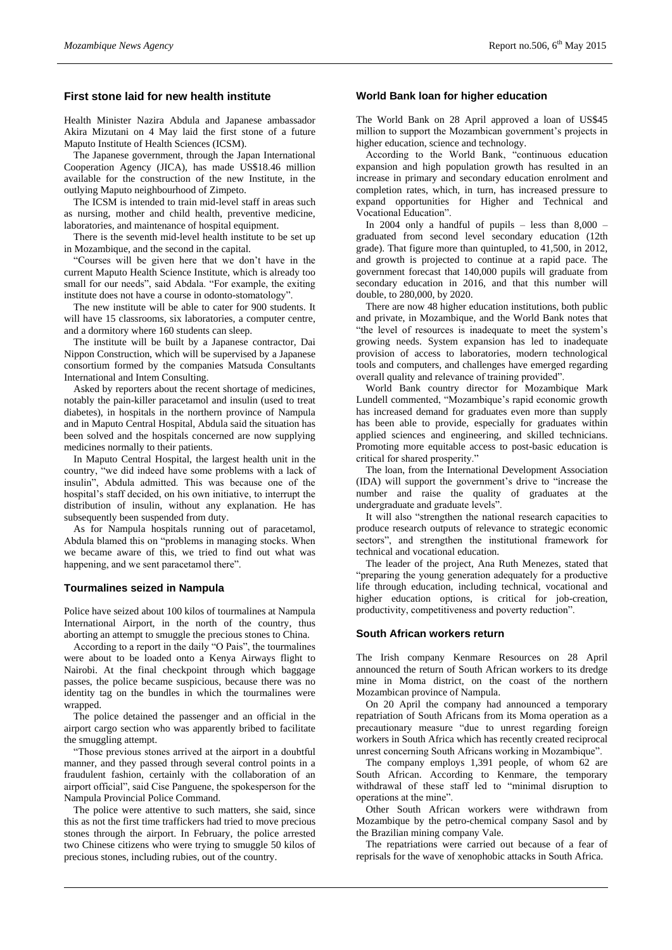# **First stone laid for new health institute**

Health Minister Nazira Abdula and Japanese ambassador Akira Mizutani on 4 May laid the first stone of a future Maputo Institute of Health Sciences (ICSM).

The Japanese government, through the Japan International Cooperation Agency (JICA), has made US\$18.46 million available for the construction of the new Institute, in the outlying Maputo neighbourhood of Zimpeto.

The ICSM is intended to train mid-level staff in areas such as nursing, mother and child health, preventive medicine, laboratories, and maintenance of hospital equipment.

There is the seventh mid-level health institute to be set up in Mozambique, and the second in the capital.

"Courses will be given here that we don't have in the current Maputo Health Science Institute, which is already too small for our needs", said Abdala. "For example, the exiting institute does not have a course in odonto-stomatology".

The new institute will be able to cater for 900 students. It will have 15 classrooms, six laboratories, a computer centre, and a dormitory where 160 students can sleep.

The institute will be built by a Japanese contractor, Dai Nippon Construction, which will be supervised by a Japanese consortium formed by the companies Matsuda Consultants International and Intem Consulting.

Asked by reporters about the recent shortage of medicines, notably the pain-killer paracetamol and insulin (used to treat diabetes), in hospitals in the northern province of Nampula and in Maputo Central Hospital, Abdula said the situation has been solved and the hospitals concerned are now supplying medicines normally to their patients.

In Maputo Central Hospital, the largest health unit in the country, "we did indeed have some problems with a lack of insulin", Abdula admitted. This was because one of the hospital's staff decided, on his own initiative, to interrupt the distribution of insulin, without any explanation. He has subsequently been suspended from duty.

As for Nampula hospitals running out of paracetamol, Abdula blamed this on "problems in managing stocks. When we became aware of this, we tried to find out what was happening, and we sent paracetamol there".

#### **Tourmalines seized in Nampula**

Police have seized about 100 kilos of tourmalines at Nampula International Airport, in the north of the country, thus aborting an attempt to smuggle the precious stones to China.

According to a report in the daily "O Pais", the tourmalines were about to be loaded onto a Kenya Airways flight to Nairobi. At the final checkpoint through which baggage passes, the police became suspicious, because there was no identity tag on the bundles in which the tourmalines were wrapped.

The police detained the passenger and an official in the airport cargo section who was apparently bribed to facilitate the smuggling attempt.

"Those previous stones arrived at the airport in a doubtful manner, and they passed through several control points in a fraudulent fashion, certainly with the collaboration of an airport official", said Cise Panguene, the spokesperson for the Nampula Provincial Police Command.

The police were attentive to such matters, she said, since this as not the first time traffickers had tried to move precious stones through the airport. In February, the police arrested two Chinese citizens who were trying to smuggle 50 kilos of precious stones, including rubies, out of the country.

# **World Bank loan for higher education**

The World Bank on 28 April approved a loan of US\$45 million to support the Mozambican government's projects in higher education, science and technology.

According to the World Bank, "continuous education expansion and high population growth has resulted in an increase in primary and secondary education enrolment and completion rates, which, in turn, has increased pressure to expand opportunities for Higher and Technical and Vocational Education".

In 2004 only a handful of pupils – less than  $8,000$  – graduated from second level secondary education (12th grade). That figure more than quintupled, to 41,500, in 2012, and growth is projected to continue at a rapid pace. The government forecast that 140,000 pupils will graduate from secondary education in 2016, and that this number will double, to 280,000, by 2020.

There are now 48 higher education institutions, both public and private, in Mozambique, and the World Bank notes that "the level of resources is inadequate to meet the system's growing needs. System expansion has led to inadequate provision of access to laboratories, modern technological tools and computers, and challenges have emerged regarding overall quality and relevance of training provided".

World Bank country director for Mozambique Mark Lundell commented, "Mozambique's rapid economic growth has increased demand for graduates even more than supply has been able to provide, especially for graduates within applied sciences and engineering, and skilled technicians. Promoting more equitable access to post-basic education is critical for shared prosperity."

The loan, from the International Development Association (IDA) will support the government's drive to "increase the number and raise the quality of graduates at the undergraduate and graduate levels".

It will also "strengthen the national research capacities to produce research outputs of relevance to strategic economic sectors", and strengthen the institutional framework for technical and vocational education.

The leader of the project, Ana Ruth Menezes, stated that "preparing the young generation adequately for a productive life through education, including technical, vocational and higher education options, is critical for job-creation, productivity, competitiveness and poverty reduction".

## **South African workers return**

The Irish company Kenmare Resources on 28 April announced the return of South African workers to its dredge mine in Moma district, on the coast of the northern Mozambican province of Nampula.

On 20 April the company had announced a temporary repatriation of South Africans from its Moma operation as a precautionary measure "due to unrest regarding foreign workers in South Africa which has recently created reciprocal unrest concerning South Africans working in Mozambique".

The company employs 1,391 people, of whom 62 are South African. According to Kenmare, the temporary withdrawal of these staff led to "minimal disruption to operations at the mine".

Other South African workers were withdrawn from Mozambique by the petro-chemical company Sasol and by the Brazilian mining company Vale.

The repatriations were carried out because of a fear of reprisals for the wave of xenophobic attacks in South Africa.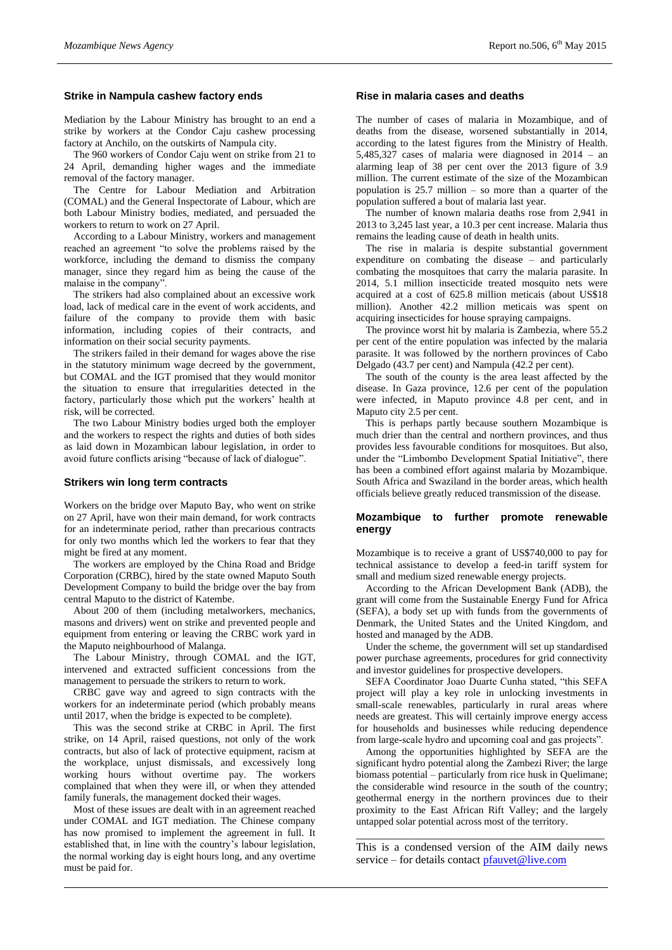# **Strike in Nampula cashew factory ends**

Mediation by the Labour Ministry has brought to an end a strike by workers at the Condor Caju cashew processing factory at Anchilo, on the outskirts of Nampula city.

The 960 workers of Condor Caju went on strike from 21 to 24 April, demanding higher wages and the immediate removal of the factory manager.

The Centre for Labour Mediation and Arbitration (COMAL) and the General Inspectorate of Labour, which are both Labour Ministry bodies, mediated, and persuaded the workers to return to work on 27 April.

According to a Labour Ministry, workers and management reached an agreement "to solve the problems raised by the workforce, including the demand to dismiss the company manager, since they regard him as being the cause of the malaise in the company".

The strikers had also complained about an excessive work load, lack of medical care in the event of work accidents, and failure of the company to provide them with basic information, including copies of their contracts, and information on their social security payments.

The strikers failed in their demand for wages above the rise in the statutory minimum wage decreed by the government, but COMAL and the IGT promised that they would monitor the situation to ensure that irregularities detected in the factory, particularly those which put the workers' health at risk, will be corrected.

The two Labour Ministry bodies urged both the employer and the workers to respect the rights and duties of both sides as laid down in Mozambican labour legislation, in order to avoid future conflicts arising "because of lack of dialogue".

#### **Strikers win long term contracts**

Workers on the bridge over Maputo Bay, who went on strike on 27 April, have won their main demand, for work contracts for an indeterminate period, rather than precarious contracts for only two months which led the workers to fear that they might be fired at any moment.

The workers are employed by the China Road and Bridge Corporation (CRBC), hired by the state owned Maputo South Development Company to build the bridge over the bay from central Maputo to the district of Katembe.

About 200 of them (including metalworkers, mechanics, masons and drivers) went on strike and prevented people and equipment from entering or leaving the CRBC work yard in the Maputo neighbourhood of Malanga.

The Labour Ministry, through COMAL and the IGT, intervened and extracted sufficient concessions from the management to persuade the strikers to return to work.

CRBC gave way and agreed to sign contracts with the workers for an indeterminate period (which probably means until 2017, when the bridge is expected to be complete).

This was the second strike at CRBC in April. The first strike, on 14 April, raised questions, not only of the work contracts, but also of lack of protective equipment, racism at the workplace, unjust dismissals, and excessively long working hours without overtime pay. The workers complained that when they were ill, or when they attended family funerals, the management docked their wages.

Most of these issues are dealt with in an agreement reached under COMAL and IGT mediation. The Chinese company has now promised to implement the agreement in full. It established that, in line with the country's labour legislation, the normal working day is eight hours long, and any overtime must be paid for.

# **Rise in malaria cases and deaths**

The number of cases of malaria in Mozambique, and of deaths from the disease, worsened substantially in 2014, according to the latest figures from the Ministry of Health. 5,485,327 cases of malaria were diagnosed in 2014 – an alarming leap of 38 per cent over the 2013 figure of 3.9 million. The current estimate of the size of the Mozambican population is 25.7 million – so more than a quarter of the population suffered a bout of malaria last year.

The number of known malaria deaths rose from 2,941 in 2013 to 3,245 last year, a 10.3 per cent increase. Malaria thus remains the leading cause of death in health units.

The rise in malaria is despite substantial government expenditure on combating the disease – and particularly combating the mosquitoes that carry the malaria parasite. In 2014, 5.1 million insecticide treated mosquito nets were acquired at a cost of 625.8 million meticais (about US\$18 million). Another 42.2 million meticais was spent on acquiring insecticides for house spraying campaigns.

The province worst hit by malaria is Zambezia, where 55.2 per cent of the entire population was infected by the malaria parasite. It was followed by the northern provinces of Cabo Delgado (43.7 per cent) and Nampula (42.2 per cent).

The south of the county is the area least affected by the disease. In Gaza province, 12.6 per cent of the population were infected, in Maputo province 4.8 per cent, and in Maputo city 2.5 per cent.

This is perhaps partly because southern Mozambique is much drier than the central and northern provinces, and thus provides less favourable conditions for mosquitoes. But also, under the "Limbombo Development Spatial Initiative", there has been a combined effort against malaria by Mozambique. South Africa and Swaziland in the border areas, which health officials believe greatly reduced transmission of the disease.

# **Mozambique to further promote renewable energy**

Mozambique is to receive a grant of US\$740,000 to pay for technical assistance to develop a feed-in tariff system for small and medium sized renewable energy projects.

According to the African Development Bank (ADB), the grant will come from the Sustainable Energy Fund for Africa (SEFA), a body set up with funds from the governments of Denmark, the United States and the United Kingdom, and hosted and managed by the ADB.

Under the scheme, the government will set up standardised power purchase agreements, procedures for grid connectivity and investor guidelines for prospective developers.

SEFA Coordinator Joao Duarte Cunha stated, "this SEFA project will play a key role in unlocking investments in small-scale renewables, particularly in rural areas where needs are greatest. This will certainly improve energy access for households and businesses while reducing dependence from large-scale hydro and upcoming coal and gas projects".

Among the opportunities highlighted by SEFA are the significant hydro potential along the Zambezi River; the large biomass potential – particularly from rice husk in Quelimane; the considerable wind resource in the south of the country; geothermal energy in the northern provinces due to their proximity to the East African Rift Valley; and the largely untapped solar potential across most of the territory.

\_\_\_\_\_\_\_\_\_\_\_\_\_\_\_\_\_\_\_\_\_\_\_\_\_\_\_\_\_\_\_\_\_\_\_\_\_\_\_\_\_\_\_\_ This is a condensed version of the AIM daily news service – for details contact [pfauvet@live.com](mailto:pfauvet@live.com)